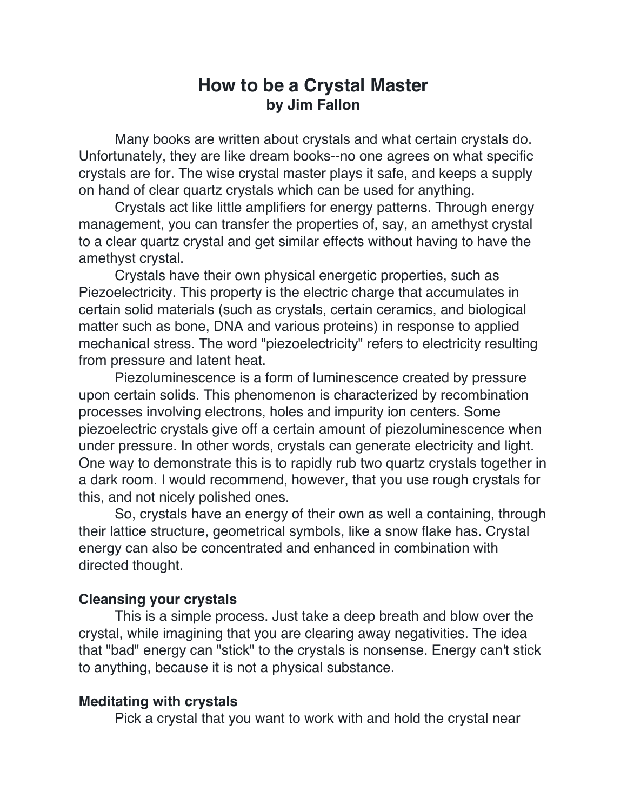# **How to be a Crystal Master by Jim Fallon**

Many books are written about crystals and what certain crystals do. Unfortunately, they are like dream books--no one agrees on what specific crystals are for. The wise crystal master plays it safe, and keeps a supply on hand of clear quartz crystals which can be used for anything.

Crystals act like little amplifiers for energy patterns. Through energy management, you can transfer the properties of, say, an amethyst crystal to a clear quartz crystal and get similar effects without having to have the amethyst crystal.

Crystals have their own physical energetic properties, such as Piezoelectricity. This property is the electric charge that accumulates in certain solid materials (such as crystals, certain ceramics, and biological matter such as bone, DNA and various proteins) in response to applied mechanical stress. The word "piezoelectricity" refers to electricity resulting from pressure and latent heat.

Piezoluminescence is a form of luminescence created by pressure upon certain solids. This phenomenon is characterized by recombination processes involving electrons, holes and impurity ion centers. Some piezoelectric crystals give off a certain amount of piezoluminescence when under pressure. In other words, crystals can generate electricity and light. One way to demonstrate this is to rapidly rub two quartz crystals together in a dark room. I would recommend, however, that you use rough crystals for this, and not nicely polished ones.

So, crystals have an energy of their own as well a containing, through their lattice structure, geometrical symbols, like a snow flake has. Crystal energy can also be concentrated and enhanced in combination with directed thought.

## **Cleansing your crystals**

This is a simple process. Just take a deep breath and blow over the crystal, while imagining that you are clearing away negativities. The idea that "bad" energy can "stick" to the crystals is nonsense. Energy can't stick to anything, because it is not a physical substance.

#### **Meditating with crystals**

Pick a crystal that you want to work with and hold the crystal near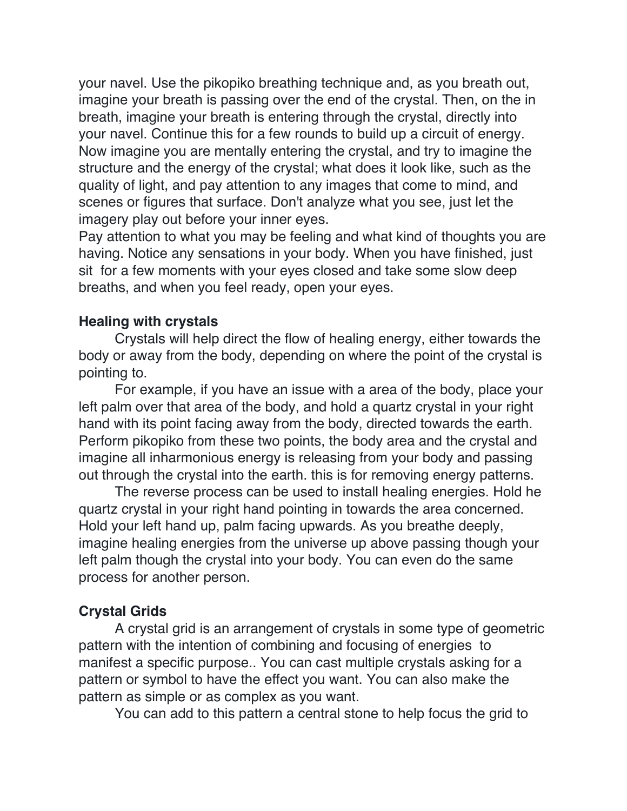your navel. Use the pikopiko breathing technique and, as you breath out, imagine your breath is passing over the end of the crystal. Then, on the in breath, imagine your breath is entering through the crystal, directly into your navel. Continue this for a few rounds to build up a circuit of energy. Now imagine you are mentally entering the crystal, and try to imagine the structure and the energy of the crystal; what does it look like, such as the quality of light, and pay attention to any images that come to mind, and scenes or figures that surface. Don't analyze what you see, just let the imagery play out before your inner eyes.

Pay attention to what you may be feeling and what kind of thoughts you are having. Notice any sensations in your body. When you have finished, just sit for a few moments with your eyes closed and take some slow deep breaths, and when you feel ready, open your eyes.

# **Healing with crystals**

Crystals will help direct the flow of healing energy, either towards the body or away from the body, depending on where the point of the crystal is pointing to.

For example, if you have an issue with a area of the body, place your left palm over that area of the body, and hold a quartz crystal in your right hand with its point facing away from the body, directed towards the earth. Perform pikopiko from these two points, the body area and the crystal and imagine all inharmonious energy is releasing from your body and passing out through the crystal into the earth. this is for removing energy patterns.

The reverse process can be used to install healing energies. Hold he quartz crystal in your right hand pointing in towards the area concerned. Hold your left hand up, palm facing upwards. As you breathe deeply, imagine healing energies from the universe up above passing though your left palm though the crystal into your body. You can even do the same process for another person.

## **Crystal Grids**

A crystal grid is an arrangement of crystals in some type of geometric pattern with the intention of combining and focusing of energies to manifest a specific purpose.. You can cast multiple crystals asking for a pattern or symbol to have the effect you want. You can also make the pattern as simple or as complex as you want.

You can add to this pattern a central stone to help focus the grid to